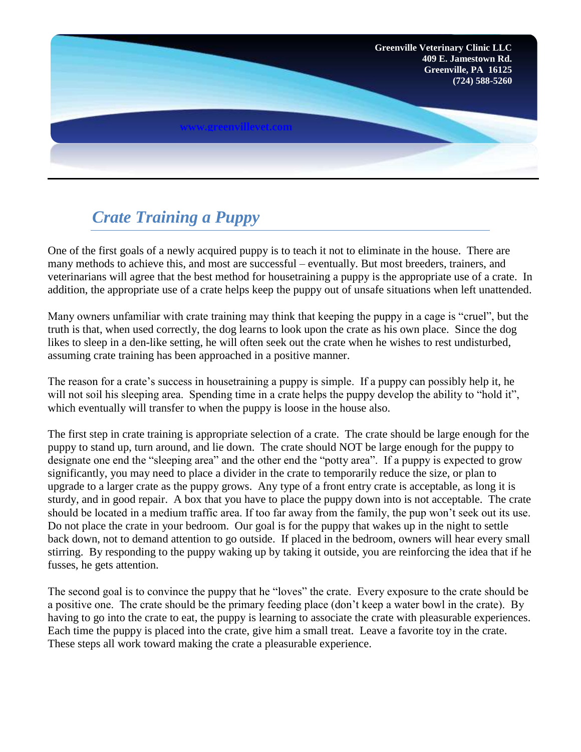

## *Crate Training a Puppy*

One of the first goals of a newly acquired puppy is to teach it not to eliminate in the house. There are many methods to achieve this, and most are successful – eventually. But most breeders, trainers, and veterinarians will agree that the best method for housetraining a puppy is the appropriate use of a crate. In addition, the appropriate use of a crate helps keep the puppy out of unsafe situations when left unattended.

Many owners unfamiliar with crate training may think that keeping the puppy in a cage is "cruel", but the truth is that, when used correctly, the dog learns to look upon the crate as his own place. Since the dog likes to sleep in a den-like setting, he will often seek out the crate when he wishes to rest undisturbed, assuming crate training has been approached in a positive manner.

The reason for a crate's success in housetraining a puppy is simple. If a puppy can possibly help it, he will not soil his sleeping area. Spending time in a crate helps the puppy develop the ability to "hold it", which eventually will transfer to when the puppy is loose in the house also.

The first step in crate training is appropriate selection of a crate. The crate should be large enough for the puppy to stand up, turn around, and lie down. The crate should NOT be large enough for the puppy to designate one end the "sleeping area" and the other end the "potty area". If a puppy is expected to grow significantly, you may need to place a divider in the crate to temporarily reduce the size, or plan to upgrade to a larger crate as the puppy grows. Any type of a front entry crate is acceptable, as long it is sturdy, and in good repair. A box that you have to place the puppy down into is not acceptable. The crate should be located in a medium traffic area. If too far away from the family, the pup won't seek out its use. Do not place the crate in your bedroom. Our goal is for the puppy that wakes up in the night to settle back down, not to demand attention to go outside. If placed in the bedroom, owners will hear every small stirring. By responding to the puppy waking up by taking it outside, you are reinforcing the idea that if he fusses, he gets attention.

The second goal is to convince the puppy that he "loves" the crate. Every exposure to the crate should be a positive one. The crate should be the primary feeding place (don't keep a water bowl in the crate). By having to go into the crate to eat, the puppy is learning to associate the crate with pleasurable experiences. Each time the puppy is placed into the crate, give him a small treat. Leave a favorite toy in the crate. These steps all work toward making the crate a pleasurable experience.